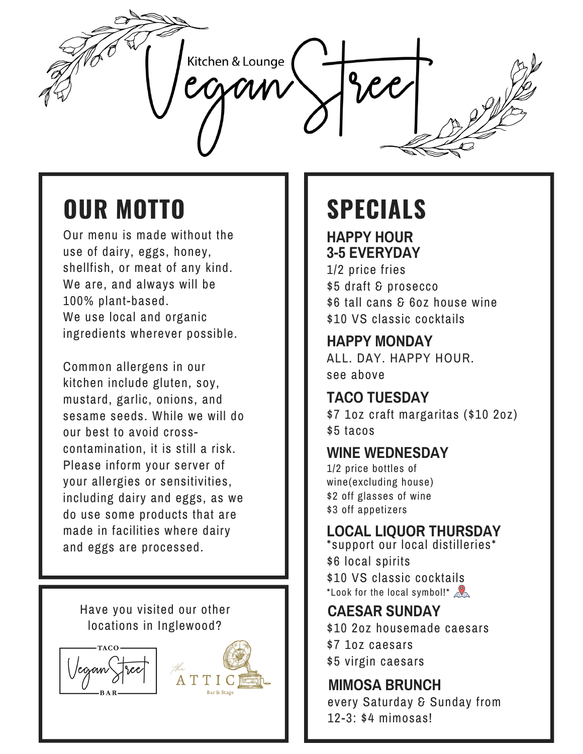

# **OUR MOTTO SPECIALS**

Our menu is made without the use of dairy, eggs, honey, shellfish, or meat of any kind. We are, and always will be 100% plant-based. We use local and organic ingredients wherever possible.

Common allergens in our kitchen include gluten, soy, mustard, garlic, onions, and sesame seeds. While we will do our best to avoid crosscontamination, it is still a risk. Please inform your server of your allergies or sensitivities, including dairy and eggs, as we do use some products that are made in facilities where dairy and eggs are processed.

Have you visited our other locations in Inglewood?





**HAPPY HOUR 3-5 EVERYDAY**

1/2 price fries \$5 draft & prosecco \$6 tall cans & 6oz house wine \$10 VS classic cocktails

# **HAPPY MONDAY**

ALL. DAY. HAPPY HOUR. see above

# **TACO TUESDAY**

\$7 1oz craft margaritas (\$10 2oz) \$5 tacos

### **WINE WEDNESDAY**

1/2 price bottles of wine(excluding house) \$2 off glasses of wine \$3 off appetizers

### **LOCAL LIQUOR THURSDAY**

\*support our local distilleries\* \$6 local spirits \$10 VS classic cocktails \*Look for the local symbol!\*  $\mathbb{R}$ 

### **CAESAR SUNDAY** \$10 2oz housemade caesars \$7 1oz caesars \$5 virgin caesars

**MIMOSA BRUNCH** every Saturday & Sunday from 12-3: \$4 mimosas!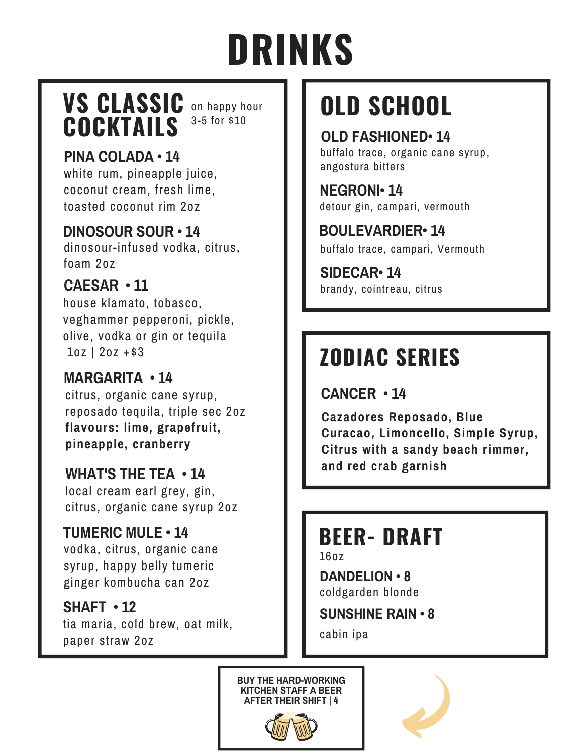# **DRINKS**

# **VS CLASSIC** on happy hour COCKTAILS 3-5 for \$10

# **PINA COLADA • 14**

white rum, pineapple juice, coconut cream, fresh lime, toasted coconut rim 2oz

### **DINOSOUR SOUR • 14**

dinosour-infused vodka, citrus, foam 2oz

### **CAESAR • 11**

house klamato, tobasco, veghammer pepperoni, pickle, olive, vodka or gin or tequila 1oz | 2oz +\$3

### **MARGARITA • 14**

citrus, organic cane syrup, reposado tequila, triple sec 2oz **flavours: lime, grapefruit, pineapple, cranberry**

### **WHAT'S THE TEA • 14**

local cream earl grey, gin, citrus, organic cane syrup 2oz

### **TUMERIC MULE • 14**

vodka, citrus, organic cane syrup, happy belly tumeric ginger kombucha can 2oz

### **SHAFT • 12**

tia maria, cold brew, oat milk, paper straw 2oz

# **OLD SCHOOL**

### **OLD FASHIONED• 14**

buffalo trace, organic cane syrup, angostura bitters

### **NEGRONI• 14** detour gin, campari, vermouth

# **BOULEVARDIER• 14**

buffalo trace, campari, Vermouth

brandy, cointreau, citrus **SIDECAR• 14**

# **ZODIAC SERIES**

**CANCER • 14**

**Cazadores Reposado, Blue Curacao, Limoncello, Simple Syrup, Citrus with a sandy beach rimmer, and red crab garnish**

# **BEER- DRAFT**

16oz

**DANDELION • 8** coldgarden blonde

**SUNSHINE RAIN • 8**

cabin ipa



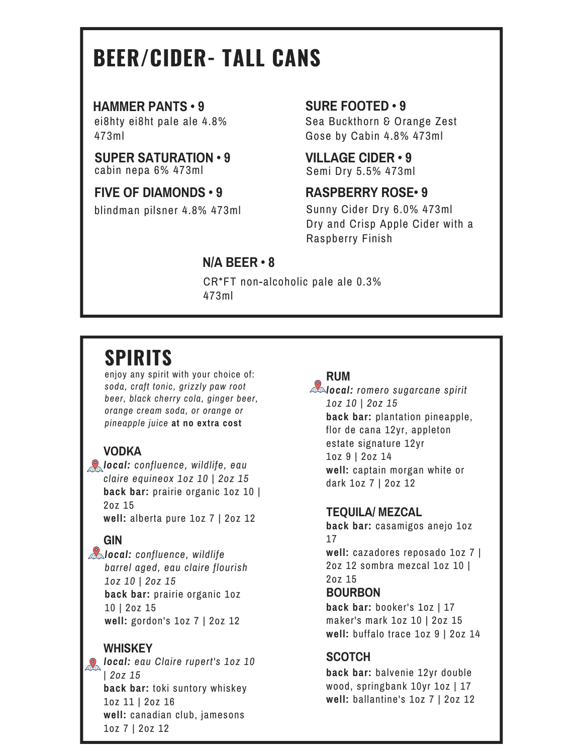# **BEER/CIDER- TALL CANS**

#### **HAMMER PANTS • 9**

ei8hty ei8ht pale ale 4.8% 473ml

#### **SUPER SATURATION • 9** cabin nepa 6% 473ml

### **FIVE OF DIAMONDS • 9**

blindman pilsner 4.8% 473ml

### **SURE FOOTED • 9**

Sea Buckthorn & Orange Zest Gose by Cabin 4.8% 473ml

**VILLAGE CIDER • 9** Semi Dry 5.5% 473ml

### **RASPBERRY ROSE• 9**

Sunny Cider Dry 6.0% 473ml Dry and Crisp Apple Cider with a Raspberry Finish

### **N/A BEER • 8**

CR\*FT non-alcoholic pale ale 0.3% 473ml

# **SPIRITS**

enjoy any spirit with your choice of: *soda, craft tonic, grizzly paw root beer, black cherry cola, ginger beer, orange cream soda, or orange or pineapple juice* **at no extra cost**

### **VODKA**

*local: confluence, wildlife, eau claire equineox 1oz 10 | 2oz 15* **back bar:** prairie organic 1oz 10 | 2oz 15 **well:** alberta pure 1oz 7 | 2oz 12

### **GIN**

*local: confluence, wildlife barrel aged, eau claire flourish 1oz 10 | 2oz 15* **back bar:** prairie organic 1oz 10 | 2oz 15 **well:** gordon's 1oz 7 | 2oz 12

### **WHISKEY**

*local: eau Claire rupert's 1oz 10 | 2oz 15* **back bar:** toki suntory whiskey 1oz 11 | 2oz 16 **well:** canadian club, jamesons 1oz 7 | 2oz 12

### **RUM**

*local: romero sugarcane spirit 1oz 10 | 2oz 15* **back bar:** plantation pineapple, flor de cana 12yr, appleton estate signature 12yr 1oz 9 | 2oz 14 **well:** captain morgan white or dark 1oz 7 | 2oz 12

### **TEQUILA/ MEZCAL**

**back bar:** casamigos anejo 1oz 17 **well:** cazadores reposado 1oz 7 |

2oz 12 sombra mezcal 1oz 10 | 2oz 15

### **BOURBON**

**back bar:** booker's 1oz | 17 maker's mark 1oz 10 | 2oz 15 **well:** buffalo trace 1oz 9 | 2oz 14

### **SCOTCH**

**back bar:** balvenie 12yr double wood, springbank 10yr 1oz | 17 **well:** ballantine's 1oz 7 | 2oz 12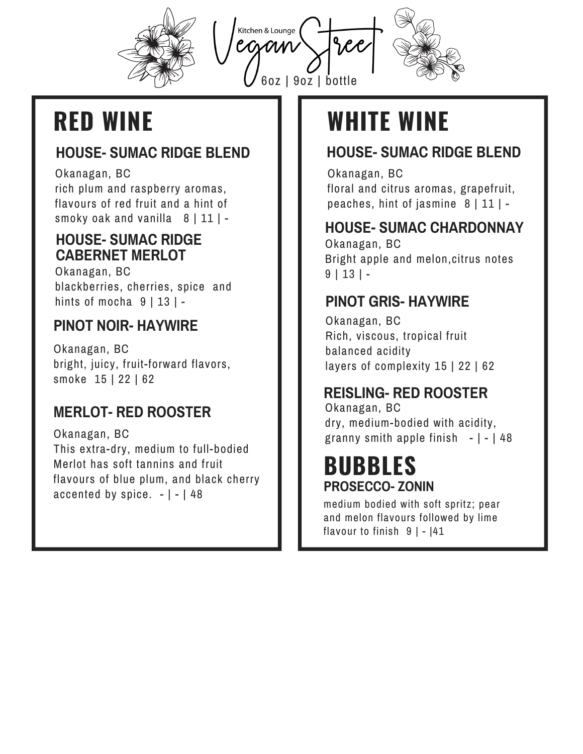

Kitchen & Lounge

6oz | 9oz | bottle



### **HOUSE- SUMAC RIDGE BLEND**

Okanagan, BC rich plum and raspberry aromas, flavours of red fruit and a hint of smoky oak and vanilla  $8 | 11 |$  -

### **HOUSE- SUMAC RIDGE CABERNET MERLOT**

Okanagan, BC blackberries, cherries, spice and hints of mocha  $9 | 13 |$  -

# **PINOT NOIR- HAYWIRE**

Okanagan, BC bright, juicy, fruit-forward flavors, smoke 15 | 22 | 62

# **MERLOT- RED ROOSTER**

Okanagan, BC This extra-dry, medium to full-bodied Merlot has soft tannins and fruit flavours of blue plum, and black cherry accented by spice.  $-1$  -  $148$ 

# **RED WINE WHITE WINE**

# **HOUSE- SUMAC RIDGE BLEND**

Okanagan, BC floral and citrus aromas, grapefruit, peaches, hint of jasmine  $8 | 11 | -$ 

### **HOUSE- SUMAC CHARDONNAY**

Okanagan, BC Bright apple and melon,citrus notes  $9 | 13 | -$ 

# **PINOT GRIS- HAYWIRE**

Okanagan, BC Rich, viscous, tropical fruit balanced acidity layers of complexity 15 | 22 | 62

# **REISLING- RED ROOSTER**

Okanagan, BC dry, medium-bodied with acidity, granny smith apple finish  $-|-|48|$ 

# **BUBBLES PROSECCO- ZONIN**

medium bodied with soft spritz; pear and melon flavours followed by lime flavour to finish  $9$  | -  $|41$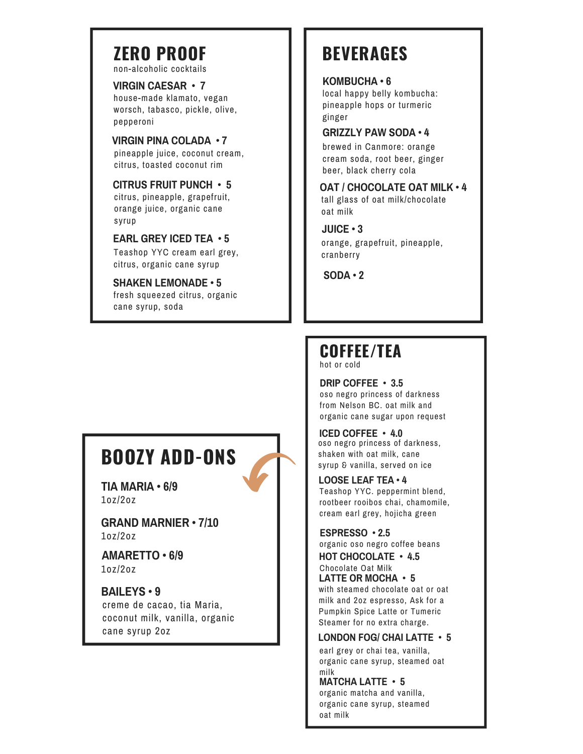# **ZERO PROOF**

non-alcoholic cocktails

**VIRGIN CAESAR • 7** house-made klamato, vegan worsch, tabasco, pickle, olive, pepperoni

**VIRGIN PINA COLADA • 7** pineapple juice, coconut cream, citrus, toasted coconut rim

**CITRUS FRUIT PUNCH • 5** citrus, pineapple, grapefruit, orange juice, organic cane syrup

**EARL GREY ICED TEA • 5**

Teashop YYC cream earl grey, citrus, organic cane syrup

**SODA • <sup>2</sup> SHAKEN LEMONADE • <sup>5</sup>** fresh squeezed citrus, organic cane syrup, soda

# **BEVERAGES**

**KOMBUCHA • 6**

local happy belly kombucha: pineapple hops or turmeric ginger

#### **GRIZZLY PAW SODA • 4**

brewed in Canmore: orange cream soda, root beer, ginger beer, black cherry cola

**OAT / CHOCOLATE OAT MILK • 4**

tall glass of oat milk/chocolate oat milk

**JUICE • 3** orange, grapefruit, pineapple, cranberry

# **COFFEE/TEA**

hot or cold

**DRIP COFFEE • 3.5** oso negro princess of darkness from Nelson BC. oat milk and organic cane sugar upon request

**ICED COFFEE • 4.0** oso negro princess of darkness, shaken with oat milk, cane syrup & vanilla, served on ice

**LOOSE LEAF TEA • 4** Teashop YYC. peppermint blend, rootbeer rooibos chai, chamomile, cream earl grey, hojicha green

**ESPRESSO • 2.5** organic oso negro coffee beans

**HOT CHOCOLATE • 4.5** Chocolate Oat Milk **LATTE OR MOCHA • 5** with steamed chocolate oat or oat milk and 2oz espresso, Ask for a Pumpkin Spice Latte or Tumeric Steamer for no extra charge.

**LONDON FOG/ CHAI LATTE • 5**

earl grey or chai tea, vanilla, organic cane syrup, steamed oat milk

**MATCHA LATTE • 5** organic matcha and vanilla, organic cane syrup, steamed oat milk

# **BOOZY ADD-ONS**

**TIA MARIA • 6/9** 1oz/2oz

**GRAND MARNIER • 7/10** 1oz/2oz

**AMARETTO • 6/9** 1oz/2oz

**BAILEYS • 9** creme de cacao, tia Maria, coconut milk, vanilla, organic cane syrup 2oz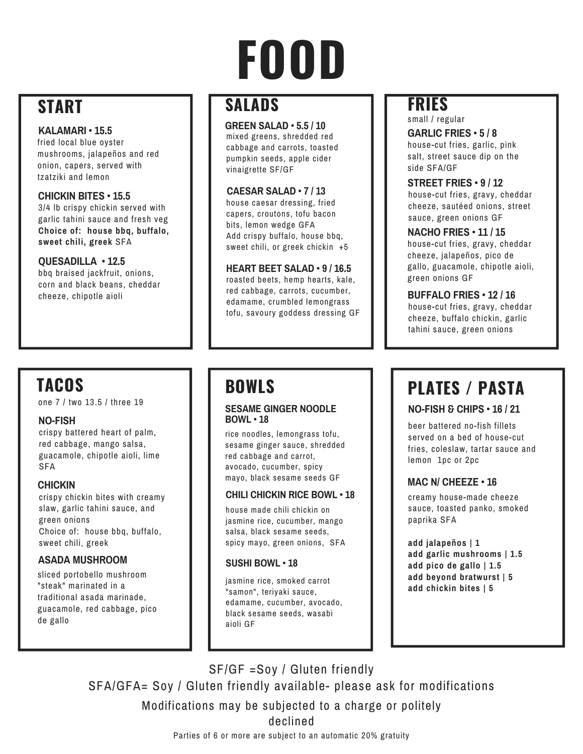# **FOOD**

# **START**

#### **KALAMARI • 15.5**

fried local blue oyster mushrooms, jalapeños and red onion, capers, served with tzatziki and lemon

#### **CHICKIN BITES • 15.5**

3/4 lb crispy chickin served with garlic tahini sauce and fresh veg **Choice of: house bbq, buffalo, sweet chili, greek** SFA

**QUESADILLA • 12.5** bbq braised jackfruit, onions, corn and black beans, cheddar cheeze, chipotle aioli

# **SALADS**

**GREEN SALAD • 5.5 / 10** mixed greens, shredded red cabbage and carrots, toasted pumpkin seeds, apple cider vinaigrette SF/GF

**CAESAR SALAD • 7 / 13** house caesar dressing, fried capers, croutons, tofu bacon bits, lemon wedge GFA Add crispy buffalo, house bbq, sweet chili, or greek chickin +5

**HEART BEET SALAD • 9 / 16.5** roasted beets, hemp hearts, kale, red cabbage, carrots, cucumber, edamame, crumbled lemongrass tofu, savoury goddess dressing GF

# **TACOS**

one 7 / two 13.5 / three 19

#### **NO-FISH**

crispy battered heart of palm, red cabbage, mango salsa, guacamole, chipotle aioli, lime SFA

#### **CHICKIN**

crispy chickin bites with creamy slaw, garlic tahini sauce, and green onions Choice of: house bbq, buffalo, sweet chili, greek

### **ASADA MUSHROOM**

sliced portobello mushroom "steak" marinated in a traditional asada marinade, guacamole, red cabbage, pico de gallo

# **BOWLS**

#### **SESAME GINGER NOODLE BOWL • 18**

rice noodles, lemongrass tofu, sesame ginger sauce, shredded red cabbage and carrot, avocado, cucumber, spicy mayo, black sesame seeds GF

#### **CHILI CHICKIN RICE BOWL • 18**

house made chili chickin on jasmine rice, cucumber, mango salsa, black sesame seeds, spicy mayo, green onions, SFA

#### **SUSHI BOWL • 18**

jasmine rice, smoked carrot "samon", teriyaki sauce, edamame, cucumber, avocado, black sesame seeds, wasabi aioli GF

# **FRIES**

**GARLIC FRIES • 5 / 8** house-cut fries, garlic, pink salt, street sauce dip on the side SFA/GF small / regular

**STREET FRIES • 9 / 12** house-cut fries, gravy, cheddar cheeze, sautéed onions, street sauce, green onions GF

**NACHO FRIES • 11 / 15** house-cut fries, gravy, cheddar cheeze, jalapeños, pico de gallo, guacamole, chipotle aioli, green onions GF

**BUFFALO FRIES • 12 / 16** house-cut fries, gravy, cheddar cheeze, buffalo chickin, garlic tahini sauce, green onions

# **PLATES / PASTA**

#### **NO-FISH & CHIPS • 16 / 21**

beer battered no-fish fillets served on a bed of house-cut fries, coleslaw, tartar sauce and lemon 1pc or 2pc

### **MAC N/ CHEEZE • 16**

creamy house-made cheeze sauce, toasted panko, smoked paprika SFA

**add jalapeños | 1 add garlic mushrooms | 1.5 add pico de gallo | 1.5 add beyond bratwurst | 5 add chickin bites | 5**

SF/GF =Soy / Gluten friendly SFA/GFA= Soy / Gluten friendly available- please ask for modifications Parties of 6 or more are subject to an automatic 20% gratuity Modifications may be subjected to a charge or politely declined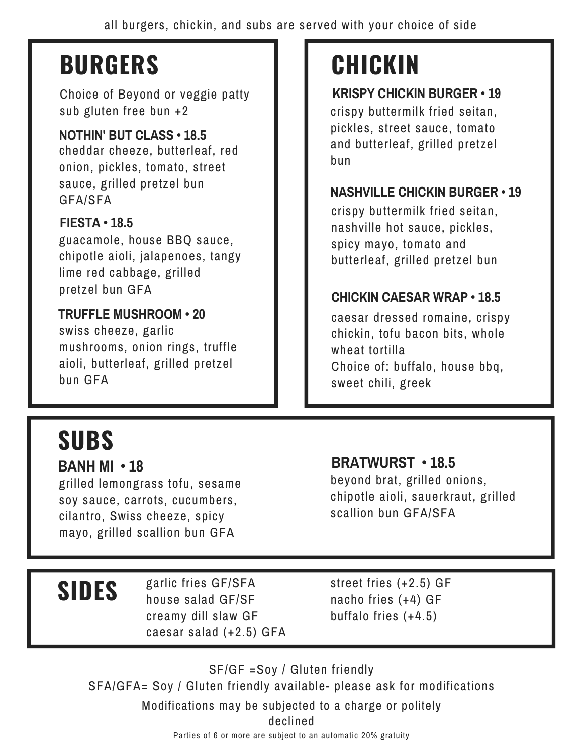# **BURGERS**

Choice of Beyond or veggie patty sub gluten free bun +2

### **NOTHIN' BUT CLASS • 18.5**

cheddar cheeze, butterleaf, red onion, pickles, tomato, street sauce, grilled pretzel bun GFA/SFA

### **FIESTA • 18.5**

guacamole, house BBQ sauce, chipotle aioli, jalapenoes, tangy lime red cabbage, grilled pretzel bun GFA

### **TRUFFLE MUSHROOM • 20**

swiss cheeze, garlic mushrooms, onion rings, truffle aioli, butterleaf, grilled pretzel bun GFA

# **SUBS**

### **BANH MI • 18**

grilled lemongrass tofu, sesame soy sauce, carrots, cucumbers, cilantro, Swiss cheeze, spicy mayo, grilled scallion bun GFA

# **CHICKIN**

**KRISPY CHICKIN BURGER • 19** crispy buttermilk fried seitan, pickles, street sauce, tomato and butterleaf, grilled pretzel bun

### **NASHVILLE CHICKIN BURGER • 19**

crispy buttermilk fried seitan, nashville hot sauce, pickles, spicy mayo, tomato and butterleaf, grilled pretzel bun

### **CHICKIN CAESAR WRAP • 18.5**

caesar dressed romaine, crispy chickin, tofu bacon bits, whole wheat tortilla Choice of: buffalo, house bbq, sweet chili, greek

### **BRATWURST • 18.5**

beyond brat, grilled onions, chipotle aioli, sauerkraut, grilled scallion bun GFA/SFA

# **SIDES**

garlic fries GF/SFA house salad GF/SF creamy dill slaw GF caesar salad (+2.5) GFA street fries (+2.5) GF nacho fries (+4) GF buffalo fries (+4.5)

SF/GF =Soy / Gluten friendly SFA/GFA= Soy / Gluten friendly available- please ask for modifications Parties of 6 or more are subject to an automatic 20% gratuity Modifications may be subjected to a charge or politely declined